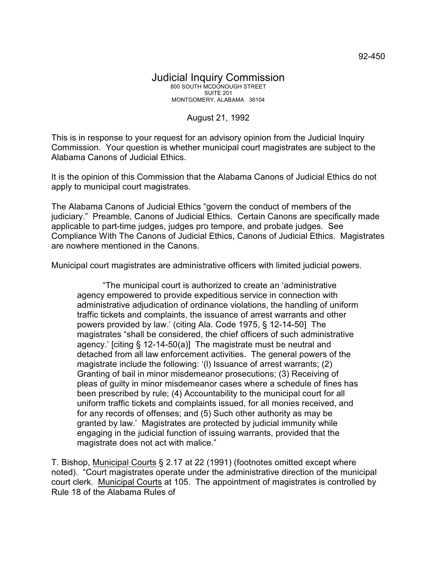## Judicial Inquiry Commission 800 SOUTH MCDONOUGH STREET SUITE 201 MONTGOMERY, ALABAMA 36104

## August 21, 1992

This is in response to your request for an advisory opinion from the Judicial Inquiry Commission. Your question is whether municipal court magistrates are subject to the Alabama Canons of Judicial Ethics.

It is the opinion of this Commission that the Alabama Canons of Judicial Ethics do not apply to municipal court magistrates.

The Alabama Canons of Judicial Ethics "govern the conduct of members of the judiciary." Preamble, Canons of Judicial Ethics. Certain Canons are specifically made applicable to part-time judges, judges pro tempore, and probate judges. See Compliance With The Canons of Judicial Ethics, Canons of Judicial Ethics. Magistrates are nowhere mentioned in the Canons.

Municipal court magistrates are administrative officers with limited judicial powers.

"The municipal court is authorized to create an 'administrative agency empowered to provide expeditious service in connection with administrative adjudication of ordinance violations, the handling of uniform traffic tickets and complaints, the issuance of arrest warrants and other powers provided by law.' (citing Ala. Code 1975, § 12-14-50] The magistrates "shall be considered, the chief officers of such administrative agency.' [citing § 12-14-50(a)] The magistrate must be neutral and detached from all law enforcement activities. The general powers of the magistrate include the following: '(l) Issuance of arrest warrants; (2) Granting of bail in minor misdemeanor prosecutions; (3) Receiving of pleas of guilty in minor misdemeanor cases where a schedule of fines has been prescribed by rule; (4) Accountability to the municipal court for all uniform traffic tickets and complaints issued, for all monies received, and for any records of offenses; and (5) Such other authority as may be granted by law.' Magistrates are protected by judicial immunity while engaging in the judicial function of issuing warrants, provided that the magistrate does not act with malice."

T. Bishop, Municipal Courts § 2.17 at 22 (1991) (footnotes omitted except where noted). "Court magistrates operate under the administrative direction of the municipal court clerk. Municipal Courts at 105. The appointment of magistrates is controlled by Rule 18 of the Alabama Rules of